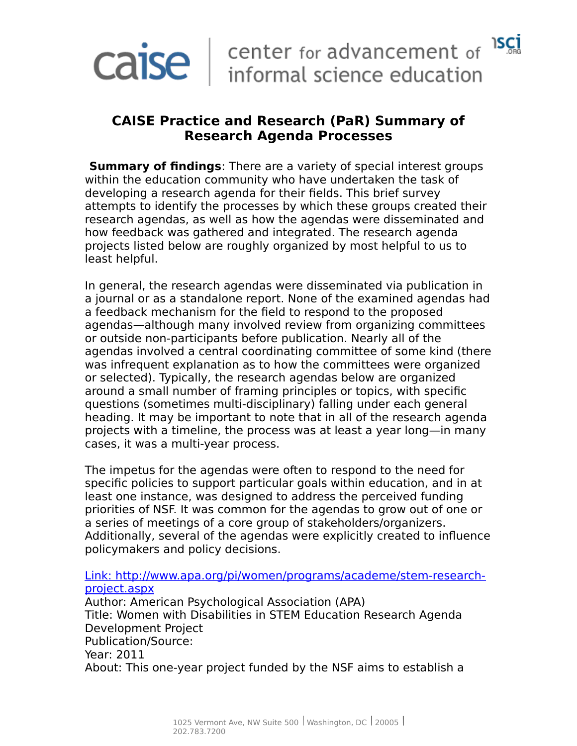

### **CAISE Practice and Research (PaR) Summary of Research Agenda Processes**

**Summary of findings**: There are a variety of special interest groups within the education community who have undertaken the task of developing a research agenda for their fields. This brief survey attempts to identify the processes by which these groups created their research agendas, as well as how the agendas were disseminated and how feedback was gathered and integrated. The research agenda projects listed below are roughly organized by most helpful to us to least helpful.

In general, the research agendas were disseminated via publication in a journal or as a standalone report. None of the examined agendas had a feedback mechanism for the field to respond to the proposed agendas—although many involved review from organizing committees or outside non-participants before publication. Nearly all of the agendas involved a central coordinating committee of some kind (there was infrequent explanation as to how the committees were organized or selected). Typically, the research agendas below are organized around a small number of framing principles or topics, with specific questions (sometimes multi-disciplinary) falling under each general heading. It may be important to note that in all of the research agenda projects with a timeline, the process was at least a year long—in many cases, it was a multi-year process.

The impetus for the agendas were often to respond to the need for specific policies to support particular goals within education, and in at least one instance, was designed to address the perceived funding priorities of NSF. It was common for the agendas to grow out of one or a series of meetings of a core group of stakeholders/organizers. Additionally, several of the agendas were explicitly created to influence policymakers and policy decisions.

#### [Link: http://www.apa.org/pi/women/programs/academe/stem-research](http://www.apa.org/pi/women/programs/academe/stem-research-project.aspx)[project.aspx](http://www.apa.org/pi/women/programs/academe/stem-research-project.aspx)

Author: American Psychological Association (APA) Title: Women with Disabilities in STEM Education Research Agenda Development Project Publication/Source: Year: 2011 About: This one-year project funded by the NSF aims to establish a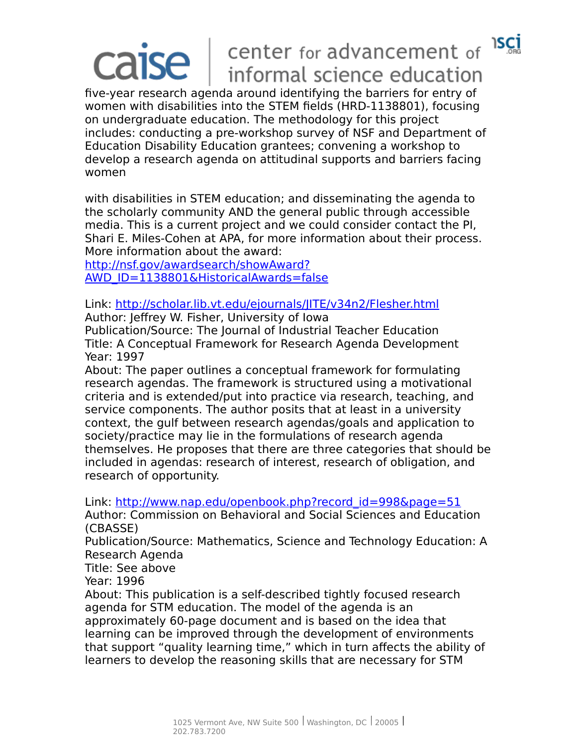#### **ISCI** center for advancement of  $\mathsf{ISe} \perp$ informal science education

five-year research agenda around identifying the barriers for entry of women with disabilities into the STEM fields (HRD-1138801), focusing on undergraduate education. The methodology for this project includes: conducting a pre-workshop survey of NSF and Department of Education Disability Education grantees; convening a workshop to develop a research agenda on attitudinal supports and barriers facing women

with disabilities in STEM education; and disseminating the agenda to the scholarly community AND the general public through accessible media. This is a current project and we could consider contact the PI, Shari E. Miles-Cohen at APA, for more information about their process. More information about the award:

[http://nsf.gov/awardsearch/showAward?](http://nsf.gov/awardsearch/showAward?AWD_ID=1138801&HistoricalAwards=false) [AWD\\_ID=1138801&HistoricalAwards=false](http://nsf.gov/awardsearch/showAward?AWD_ID=1138801&HistoricalAwards=false)

Link:<http://scholar.lib.vt.edu/ejournals/JITE/v34n2/Flesher.html>

Author: Jeffrey W. Fisher, University of Iowa

Publication/Source: The Journal of Industrial Teacher Education Title: A Conceptual Framework for Research Agenda Development Year: 1997

About: The paper outlines a conceptual framework for formulating research agendas. The framework is structured using a motivational criteria and is extended/put into practice via research, teaching, and service components. The author posits that at least in a university context, the gulf between research agendas/goals and application to society/practice may lie in the formulations of research agenda themselves. He proposes that there are three categories that should be included in agendas: research of interest, research of obligation, and research of opportunity.

Link: [http://www.nap.edu/openbook.php?record\\_id=998&page=51](http://www.nap.edu/openbook.php?record_id=998&page=51)

Author: Commission on Behavioral and Social Sciences and Education (CBASSE)

Publication/Source: Mathematics, Science and Technology Education: A Research Agenda

Title: See above

Year: 1996

About: This publication is a self-described tightly focused research agenda for STM education. The model of the agenda is an approximately 60-page document and is based on the idea that learning can be improved through the development of environments that support "quality learning time," which in turn affects the ability of learners to develop the reasoning skills that are necessary for STM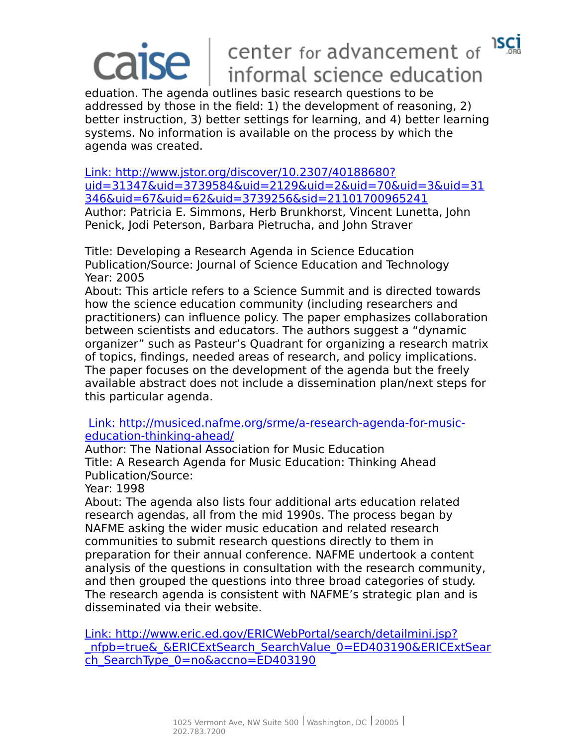# $\overline{\textsf{l}}$ ise

### **ISCI** center for advancement of informal science education

eduation. The agenda outlines basic research questions to be addressed by those in the field: 1) the development of reasoning, 2) better instruction, 3) better settings for learning, and 4) better learning systems. No information is available on the process by which the agenda was created.

 [Link: http://www.jstor.org/discover/10.2307/40188680?](http://www.jstor.org/discover/10.2307/40188680?uid=31347&uid=3739584&uid=2129&uid=2&uid=70&uid=3&uid=31346&uid=67&uid=62&uid=3739256&sid=21101700965241) [uid=31347&uid=3739584&uid=2129&uid=2&uid=70&uid=3&uid=31](http://www.jstor.org/discover/10.2307/40188680?uid=31347&uid=3739584&uid=2129&uid=2&uid=70&uid=3&uid=31346&uid=67&uid=62&uid=3739256&sid=21101700965241) [346&uid=67&uid=62&uid=3739256&sid=21101700965241](http://www.jstor.org/discover/10.2307/40188680?uid=31347&uid=3739584&uid=2129&uid=2&uid=70&uid=3&uid=31346&uid=67&uid=62&uid=3739256&sid=21101700965241) Author: Patricia E. Simmons, Herb Brunkhorst, Vincent Lunetta, John Penick, Jodi Peterson, Barbara Pietrucha, and John Straver

Title: Developing a Research Agenda in Science Education Publication/Source: Journal of Science Education and Technology Year: 2005

About: This article refers to a Science Summit and is directed towards how the science education community (including researchers and practitioners) can influence policy. The paper emphasizes collaboration between scientists and educators. The authors suggest a "dynamic organizer" such as Pasteur's Quadrant for organizing a research matrix of topics, findings, needed areas of research, and policy implications. The paper focuses on the development of the agenda but the freely available abstract does not include a dissemination plan/next steps for this particular agenda.

 [Link: http://musiced.nafme.org/srme/a-research-agenda-for-music](http://musiced.nafme.org/srme/a-research-agenda-for-music-education-thinking-ahead/)[education-thinking-ahead/](http://musiced.nafme.org/srme/a-research-agenda-for-music-education-thinking-ahead/)

Author: The National Association for Music Education Title: A Research Agenda for Music Education: Thinking Ahead Publication/Source:

Year: 1998

About: The agenda also lists four additional arts education related research agendas, all from the mid 1990s. The process began by NAFME asking the wider music education and related research communities to submit research questions directly to them in preparation for their annual conference. NAFME undertook a content analysis of the questions in consultation with the research community, and then grouped the questions into three broad categories of study. The research agenda is consistent with NAFME's strategic plan and is disseminated via their website.

 [Link: http://www.eric.ed.gov/ERICWebPortal/search/detailmini.jsp?](http://www.eric.ed.gov/ERICWebPortal/search/detailmini.jsp?_nfpb=true&_&ERICExtSearch_SearchValue_0=ED403190&ERICExtSearch_SearchType_0=no&accno=ED403190) nfpb=true& &ERICExtSearch SearchValue 0=ED403190&ERICExtSear ch SearchType 0=no&accno=ED403190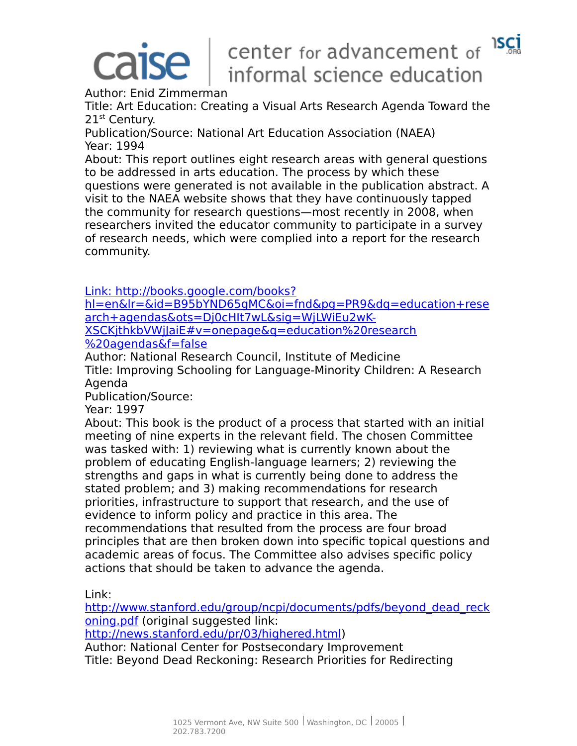# center for advancement of 15CI informal science education

Author: Enid Zimmerman

Title: Art Education: Creating a Visual Arts Research Agenda Toward the 21<sup>st</sup> Century.

Publication/Source: National Art Education Association (NAEA) Year: 1994

About: This report outlines eight research areas with general questions to be addressed in arts education. The process by which these questions were generated is not available in the publication abstract. A visit to the NAEA website shows that they have continuously tapped the community for research questions—most recently in 2008, when researchers invited the educator community to participate in a survey of research needs, which were complied into a report for the research community.

 [Link: http://books.google.com/books?](http://books.google.com/books?hl=en&lr=&id=B95bYND65gMC&oi=fnd&pg=PR9&dq=education+research+agendas&ots=Dj0cHIt7wL&sig=WjLWiEu2wK-XSCKjthkbVWjJaiE#v=onepage&q=education%20research%20agendas&f=false)

[hl=en&lr=&id=B95bYND65gMC&oi=fnd&pg=PR9&dq=education+rese](http://books.google.com/books?hl=en&lr=&id=B95bYND65gMC&oi=fnd&pg=PR9&dq=education+research+agendas&ots=Dj0cHIt7wL&sig=WjLWiEu2wK-XSCKjthkbVWjJaiE#v=onepage&q=education%20research%20agendas&f=false) arch+agendas&ots=Dj0cHIt7wL&sig=WjLWiEu2wK-XSCKjthkbVWjJaiE#v=onepage&q=education%20research [%20agendas&f=false](http://books.google.com/books?hl=en&lr=&id=B95bYND65gMC&oi=fnd&pg=PR9&dq=education+research+agendas&ots=Dj0cHIt7wL&sig=WjLWiEu2wK-XSCKjthkbVWjJaiE#v=onepage&q=education%20research%20agendas&f=false)

Author: National Research Council, Institute of Medicine Title: Improving Schooling for Language-Minority Children: A Research Agenda

Publication/Source:

Year: 1997

About: This book is the product of a process that started with an initial meeting of nine experts in the relevant field. The chosen Committee was tasked with: 1) reviewing what is currently known about the problem of educating English-language learners; 2) reviewing the strengths and gaps in what is currently being done to address the stated problem; and 3) making recommendations for research priorities, infrastructure to support that research, and the use of evidence to inform policy and practice in this area. The recommendations that resulted from the process are four broad principles that are then broken down into specific topical questions and academic areas of focus. The Committee also advises specific policy actions that should be taken to advance the agenda.

Link:

http://www.stanford.edu/group/ncpi/documents/pdfs/beyond dead reck [oning.pdf](http://www.stanford.edu/group/ncpi/documents/pdfs/beyond_dead_reckoning.pdf) (original suggested link:

[http://news.stanford.edu/pr/03/highered.html\)](http://news.stanford.edu/pr/03/highered.html)

Author: National Center for Postsecondary Improvement Title: Beyond Dead Reckoning: Research Priorities for Redirecting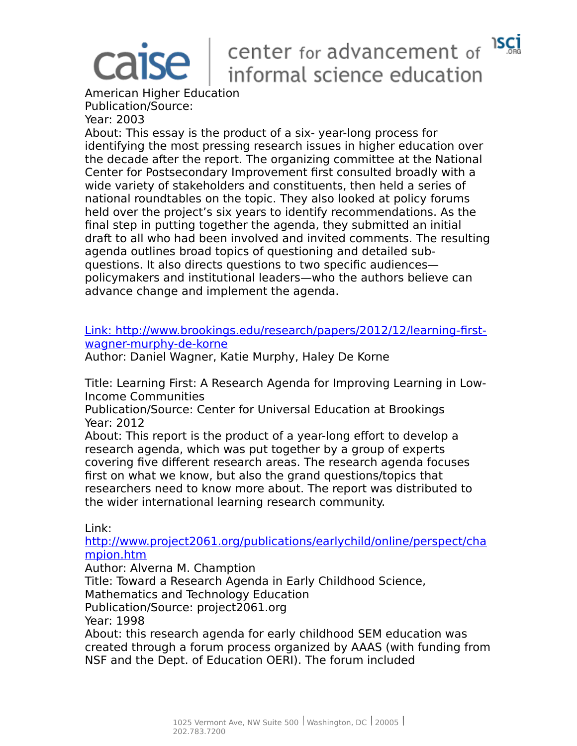# center for advancement of 15CI informal science education

American Higher Education Publication/Source: Year: 2003

About: This essay is the product of a six- year-long process for identifying the most pressing research issues in higher education over the decade after the report. The organizing committee at the National Center for Postsecondary Improvement first consulted broadly with a wide variety of stakeholders and constituents, then held a series of national roundtables on the topic. They also looked at policy forums held over the project's six years to identify recommendations. As the final step in putting together the agenda, they submitted an initial draft to all who had been involved and invited comments. The resulting agenda outlines broad topics of questioning and detailed subquestions. It also directs questions to two specific audiences policymakers and institutional leaders—who the authors believe can advance change and implement the agenda.

### [Link: http://www.brookings.edu/research/papers/2012/12/learning-first](http://www.brookings.edu/research/papers/2012/12/learning-first-wagner-murphy-de-korne)[wagner-murphy-de-korne](http://www.brookings.edu/research/papers/2012/12/learning-first-wagner-murphy-de-korne)

Author: Daniel Wagner, Katie Murphy, Haley De Korne

Title: Learning First: A Research Agenda for Improving Learning in Low-Income Communities

Publication/Source: Center for Universal Education at Brookings Year: 2012

About: This report is the product of a year-long effort to develop a research agenda, which was put together by a group of experts covering five different research areas. The research agenda focuses first on what we know, but also the grand questions/topics that researchers need to know more about. The report was distributed to the wider international learning research community.

Link:

[http://www.project2061.org/publications/earlychild/online/perspect/cha](http://www.project2061.org/publications/earlychild/online/perspect/champion.htm) [mpion.htm](http://www.project2061.org/publications/earlychild/online/perspect/champion.htm)

Author: Alverna M. Chamption

Title: Toward a Research Agenda in Early Childhood Science,

Mathematics and Technology Education

Publication/Source: project2061.org

Year: 1998

About: this research agenda for early childhood SEM education was created through a forum process organized by AAAS (with funding from NSF and the Dept. of Education OERI). The forum included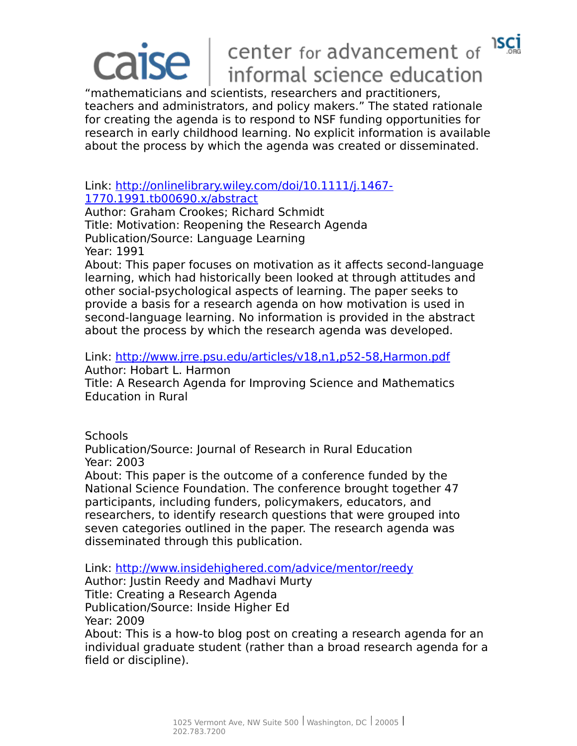### **ISCI** center for advancement of ise l informal science education

"mathematicians and scientists, researchers and practitioners, teachers and administrators, and policy makers." The stated rationale for creating the agenda is to respond to NSF funding opportunities for research in early childhood learning. No explicit information is available about the process by which the agenda was created or disseminated.

### Link: [http://onlinelibrary.wiley.com/doi/10.1111/j.1467-](http://onlinelibrary.wiley.com/doi/10.1111/j.1467-1770.1991.tb00690.x/abstract) [1770.1991.tb00690.x/abstract](http://onlinelibrary.wiley.com/doi/10.1111/j.1467-1770.1991.tb00690.x/abstract)

Author: Graham Crookes; Richard Schmidt Title: Motivation: Reopening the Research Agenda Publication/Source: Language Learning Year: 1991

About: This paper focuses on motivation as it affects second-language learning, which had historically been looked at through attitudes and other social-psychological aspects of learning. The paper seeks to provide a basis for a research agenda on how motivation is used in second-language learning. No information is provided in the abstract about the process by which the research agenda was developed.

Link:<http://www.jrre.psu.edu/articles/v18,n1,p52-58,Harmon.pdf> Author: Hobart L. Harmon

Title: A Research Agenda for Improving Science and Mathematics Education in Rural

### **Schools**

Publication/Source: Journal of Research in Rural Education Year: 2003

About: This paper is the outcome of a conference funded by the National Science Foundation. The conference brought together 47 participants, including funders, policymakers, educators, and researchers, to identify research questions that were grouped into seven categories outlined in the paper. The research agenda was disseminated through this publication.

Link:<http://www.insidehighered.com/advice/mentor/reedy>

Author: Justin Reedy and Madhavi Murty Title: Creating a Research Agenda Publication/Source: Inside Higher Ed Year: 2009

About: This is a how-to blog post on creating a research agenda for an individual graduate student (rather than a broad research agenda for a field or discipline).